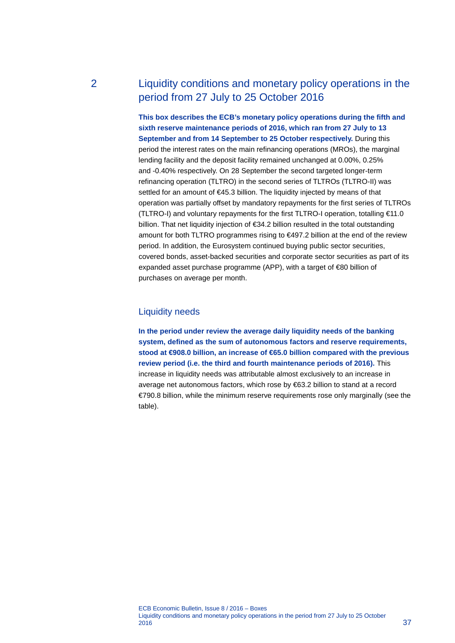# 2 Liquidity conditions and monetary policy operations in the period from 27 July to 25 October 2016

**This box describes the ECB's monetary policy operations during the fifth and sixth reserve maintenance periods of 2016, which ran from 27 July to 13 September and from 14 September to 25 October respectively.** During this period the interest rates on the main refinancing operations (MROs), the marginal lending facility and the deposit facility remained unchanged at 0.00%, 0.25% and -0.40% respectively. On 28 September the second targeted longer-term refinancing operation (TLTRO) in the second series of TLTROs (TLTRO-II) was settled for an amount of €45.3 billion. The liquidity injected by means of that operation was partially offset by mandatory repayments for the first series of TLTROs (TLTRO-I) and voluntary repayments for the first TLTRO-I operation, totalling €11.0 billion. That net liquidity injection of €34.2 billion resulted in the total outstanding amount for both TLTRO programmes rising to €497.2 billion at the end of the review period. In addition, the Eurosystem continued buying public sector securities, covered bonds, asset-backed securities and corporate sector securities as part of its expanded asset purchase programme (APP), with a target of €80 billion of purchases on average per month.

# Liquidity needs

**In the period under review the average daily liquidity needs of the banking system, defined as the sum of autonomous factors and reserve requirements, stood at €908.0 billion, an increase of €65.0 billion compared with the previous review period (i.e. the third and fourth maintenance periods of 2016).** This increase in liquidity needs was attributable almost exclusively to an increase in average net autonomous factors, which rose by €63.2 billion to stand at a record €790.8 billion, while the minimum reserve requirements rose only marginally (see the table).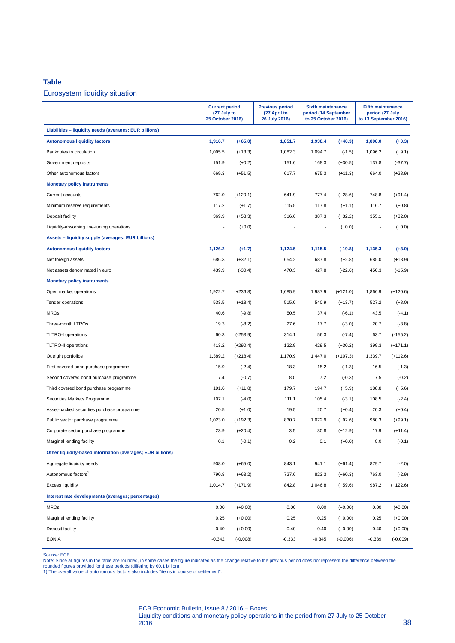#### **Table**

## Eurosystem liquidity situation

|                                                            | <b>Current period</b><br>(27 July to<br>25 October 2016) |            | <b>Previous period</b><br>(27 April to<br>26 July 2016) | <b>Sixth maintenance</b><br>period (14 September<br>to 25 October 2016) |            | <b>Fifth maintenance</b><br>period (27 July<br>to 13 September 2016) |            |
|------------------------------------------------------------|----------------------------------------------------------|------------|---------------------------------------------------------|-------------------------------------------------------------------------|------------|----------------------------------------------------------------------|------------|
| Liabilities - liquidity needs (averages; EUR billions)     |                                                          |            |                                                         |                                                                         |            |                                                                      |            |
| <b>Autonomous liquidity factors</b>                        | 1,916.7                                                  | $(+65.0)$  | 1,851.7                                                 | 1,938.4                                                                 | $(+40.3)$  | 1,898.0                                                              | $(+0.3)$   |
| Banknotes in circulation                                   | 1,095.5                                                  | $(+13.3)$  | 1,082.3                                                 | 1,094.7                                                                 | $(-1.5)$   | 1,096.2                                                              | $(+9.1)$   |
| Government deposits                                        | 151.9                                                    | $(+0.2)$   | 151.6                                                   | 168.3                                                                   | $(+30.5)$  | 137.8                                                                | $(-37.7)$  |
| Other autonomous factors                                   | 669.3                                                    | $(+51.5)$  | 617.7                                                   | 675.3                                                                   | $(+11.3)$  | 664.0                                                                | $(+28.9)$  |
| <b>Monetary policy instruments</b>                         |                                                          |            |                                                         |                                                                         |            |                                                                      |            |
| Current accounts                                           | 762.0                                                    | $(+120.1)$ | 641.9                                                   | 777.4                                                                   | $(+28.6)$  | 748.8                                                                | $(+91.4)$  |
| Minimum reserve requirements                               | 117.2                                                    | $(+1.7)$   | 115.5                                                   | 117.8                                                                   | $(+1.1)$   | 116.7                                                                | $(+0.8)$   |
| Deposit facility                                           | 369.9                                                    | $(+53.3)$  | 316.6                                                   | 387.3                                                                   | $(+32.2)$  | 355.1                                                                | $(+32.0)$  |
| Liquidity-absorbing fine-tuning operations                 |                                                          | $(+0.0)$   |                                                         |                                                                         | $(+0.0)$   | $\overline{\phantom{a}}$                                             | $(+0.0)$   |
| Assets - liquidity supply (averages; EUR billions)         |                                                          |            |                                                         |                                                                         |            |                                                                      |            |
| <b>Autonomous liquidity factors</b>                        | 1,126.2                                                  | $(+1.7)$   | 1,124.5                                                 | 1,115.5                                                                 | $(-19.8)$  | 1,135.3                                                              | $(+3.0)$   |
| Net foreign assets                                         | 686.3                                                    | $(+32.1)$  | 654.2                                                   | 687.8                                                                   | $(+2.8)$   | 685.0                                                                | $(+18.9)$  |
| Net assets denominated in euro                             | 439.9                                                    | $(-30.4)$  | 470.3                                                   | 427.8                                                                   | $(-22.6)$  | 450.3                                                                | $(-15.9)$  |
| <b>Monetary policy instruments</b>                         |                                                          |            |                                                         |                                                                         |            |                                                                      |            |
| Open market operations                                     | 1,922.7                                                  | $(+236.8)$ | 1,685.9                                                 | 1,987.9                                                                 | $(+121.0)$ | 1,866.9                                                              | $(+120.6)$ |
| Tender operations                                          | 533.5                                                    | $(+18.4)$  | 515.0                                                   | 540.9                                                                   | $(+13.7)$  | 527.2                                                                | $(+8.0)$   |
| <b>MROs</b>                                                | 40.6                                                     | $(-9.8)$   | 50.5                                                    | 37.4                                                                    | $(-6.1)$   | 43.5                                                                 | $(-4.1)$   |
| Three-month LTROs                                          | 19.3                                                     | $(-8.2)$   | 27.6                                                    | 17.7                                                                    | $(-3.0)$   | 20.7                                                                 | $(-3.8)$   |
| <b>TLTRO-I</b> operations                                  | 60.3                                                     | $(-253.9)$ | 314.1                                                   | 56.3                                                                    | $(-7.4)$   | 63.7                                                                 | $(-155.2)$ |
| <b>TLTRO-II operations</b>                                 | 413.2                                                    | $(+290.4)$ | 122.9                                                   | 429.5                                                                   | $(+30.2)$  | 399.3                                                                | $(+171.1)$ |
| Outright portfolios                                        | 1,389.2                                                  | $(+218.4)$ | 1,170.9                                                 | 1,447.0                                                                 | $(+107.3)$ | 1,339.7                                                              | $(+112.6)$ |
| First covered bond purchase programme                      | 15.9                                                     | $(-2.4)$   | 18.3                                                    | 15.2                                                                    | $(-1.3)$   | 16.5                                                                 | $(-1.3)$   |
| Second covered bond purchase programme                     | 7.4                                                      | $(-0.7)$   | 8.0                                                     | 7.2                                                                     | $(-0.3)$   | 7.5                                                                  | $(-0.2)$   |
| Third covered bond purchase programme                      | 191.6                                                    | $(+11.8)$  | 179.7                                                   | 194.7                                                                   | $(+5.9)$   | 188.8                                                                | $(+5.6)$   |
| Securities Markets Programme                               | 107.1                                                    | $(-4.0)$   | 111.1                                                   | 105.4                                                                   | $(-3.1)$   | 108.5                                                                | $(-2.4)$   |
| Asset-backed securities purchase programme                 | 20.5                                                     | $(+1.0)$   | 19.5                                                    | 20.7                                                                    | $(+0.4)$   | 20.3                                                                 | $(+0.4)$   |
| Public sector purchase programme                           | 1,023.0                                                  | $(+192.3)$ | 830.7                                                   | 1,072.9                                                                 | $(+92.6)$  | 980.3                                                                | $(+99.1)$  |
| Corporate sector purchase programme                        | 23.9                                                     | $(+20.4)$  | 3.5                                                     | 30.8                                                                    | $(+12.9)$  | 17.9                                                                 | $(+11.4)$  |
| Marginal lending facility                                  | 0.1                                                      | $(-0.1)$   | 0.2                                                     | 0.1                                                                     | $(+0.0)$   | 0.0                                                                  | $(-0.1)$   |
| Other liquidity-based information (averages; EUR billions) |                                                          |            |                                                         |                                                                         |            |                                                                      |            |
| Aggregate liquidity needs                                  | 908.0                                                    | $(+65.0)$  | 843.1                                                   | 941.1                                                                   | $(+61.4)$  | 879.7                                                                | $(-2.0)$   |
| Autonomous factors <sup>1</sup>                            | 790.8                                                    | $(+63.2)$  | 727.6                                                   | 823.3                                                                   | $(+60.3)$  | 763.0                                                                | $(-2.9)$   |
| <b>Excess liquidity</b>                                    | 1,014.7                                                  | $(+171.9)$ | 842.8                                                   | 1,046.8                                                                 | $(+59.6)$  | 987.2                                                                | $(+122.6)$ |
| Interest rate developments (averages; percentages)         |                                                          |            |                                                         |                                                                         |            |                                                                      |            |
| <b>MROs</b>                                                | 0.00                                                     | $(+0.00)$  | 0.00                                                    | 0.00                                                                    | $(+0.00)$  | 0.00                                                                 | $(+0.00)$  |
| Marginal lending facility                                  | 0.25                                                     | $(+0.00)$  | 0.25                                                    | 0.25                                                                    | $(+0.00)$  | 0.25                                                                 | $(+0.00)$  |
| Deposit facility                                           | $-0.40$                                                  | $(+0.00)$  | $-0.40$                                                 | $-0.40$                                                                 | $(+0.00)$  | $-0.40$                                                              | $(+0.00)$  |
| <b>EONIA</b>                                               | $-0.342$                                                 | $(-0.008)$ | $-0.333$                                                | $-0.345$                                                                | $(-0.006)$ | $-0.339$                                                             | $(-0.009)$ |

Source: ECB.

Note: Since all figures in the table are rounded, in some cases the figure indicated as the change relative to the previous period does not represent the difference between the<br>rounded figures provided for these periods (d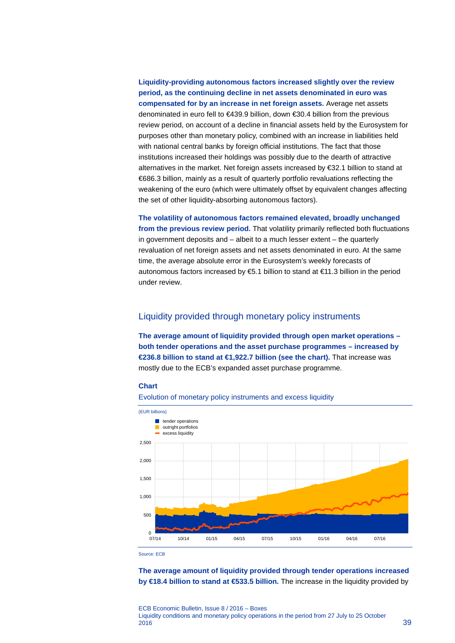**Liquidity-providing autonomous factors increased slightly over the review period, as the continuing decline in net assets denominated in euro was compensated for by an increase in net foreign assets.** Average net assets denominated in euro fell to €439.9 billion, down €30.4 billion from the previous review period, on account of a decline in financial assets held by the Eurosystem for purposes other than monetary policy, combined with an increase in liabilities held with national central banks by foreign official institutions. The fact that those institutions increased their holdings was possibly due to the dearth of attractive alternatives in the market. Net foreign assets increased by €32.1 billion to stand at €686.3 billion, mainly as a result of quarterly portfolio revaluations reflecting the weakening of the euro (which were ultimately offset by equivalent changes affecting the set of other liquidity-absorbing autonomous factors).

**The volatility of autonomous factors remained elevated, broadly unchanged from the previous review period.** That volatility primarily reflected both fluctuations in government deposits and – albeit to a much lesser extent – the quarterly revaluation of net foreign assets and net assets denominated in euro. At the same time, the average absolute error in the Eurosystem's weekly forecasts of autonomous factors increased by €5.1 billion to stand at €11.3 billion in the period under review.

# Liquidity provided through monetary policy instruments

**The average amount of liquidity provided through open market operations – both tender operations and the asset purchase programmes – increased by €236.8 billion to stand at €1,922.7 billion (see the chart).** That increase was mostly due to the ECB's expanded asset purchase programme.

#### **Chart**





Source: ECB

**The average amount of liquidity provided through tender operations increased by €18.4 billion to stand at €533.5 billion.** The increase in the liquidity provided by

ECB Economic Bulletin, Issue 8 / 2016 – Boxes Liquidity conditions and monetary policy operations in the period from 27 July to 25 October  $2016$   $39$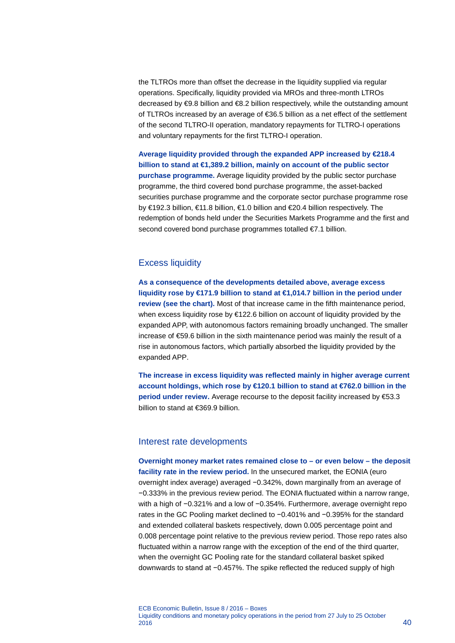the TLTROs more than offset the decrease in the liquidity supplied via regular operations. Specifically, liquidity provided via MROs and three-month LTROs decreased by €9.8 billion and €8.2 billion respectively, while the outstanding amount of TLTROs increased by an average of €36.5 billion as a net effect of the settlement of the second TLTRO-II operation, mandatory repayments for TLTRO-I operations and voluntary repayments for the first TLTRO-I operation.

**Average liquidity provided through the expanded APP increased by €218.4 billion to stand at €1,389.2 billion, mainly on account of the public sector purchase programme.** Average liquidity provided by the public sector purchase programme, the third covered bond purchase programme, the asset-backed securities purchase programme and the corporate sector purchase programme rose by €192.3 billion, €11.8 billion, €1.0 billion and €20.4 billion respectively. The redemption of bonds held under the Securities Markets Programme and the first and second covered bond purchase programmes totalled €7.1 billion.

# Excess liquidity

**As a consequence of the developments detailed above, average excess liquidity rose by €171.9 billion to stand at €1,014.7 billion in the period under review (see the chart).** Most of that increase came in the fifth maintenance period, when excess liquidity rose by €122.6 billion on account of liquidity provided by the expanded APP, with autonomous factors remaining broadly unchanged. The smaller increase of €59.6 billion in the sixth maintenance period was mainly the result of a rise in autonomous factors, which partially absorbed the liquidity provided by the expanded APP.

**The increase in excess liquidity was reflected mainly in higher average current account holdings, which rose by €120.1 billion to stand at €762.0 billion in the period under review.** Average recourse to the deposit facility increased by €53.3 billion to stand at €369.9 billion.

### Interest rate developments

**Overnight money market rates remained close to – or even below – the deposit facility rate in the review period.** In the unsecured market, the EONIA (euro overnight index average) averaged −0.342%, down marginally from an average of −0.333% in the previous review period. The EONIA fluctuated within a narrow range, with a high of −0.321% and a low of −0.354%. Furthermore, average overnight repo rates in the GC Pooling market declined to −0.401% and −0.395% for the standard and extended collateral baskets respectively, down 0.005 percentage point and 0.008 percentage point relative to the previous review period. Those repo rates also fluctuated within a narrow range with the exception of the end of the third quarter, when the overnight GC Pooling rate for the standard collateral basket spiked downwards to stand at −0.457%. The spike reflected the reduced supply of high